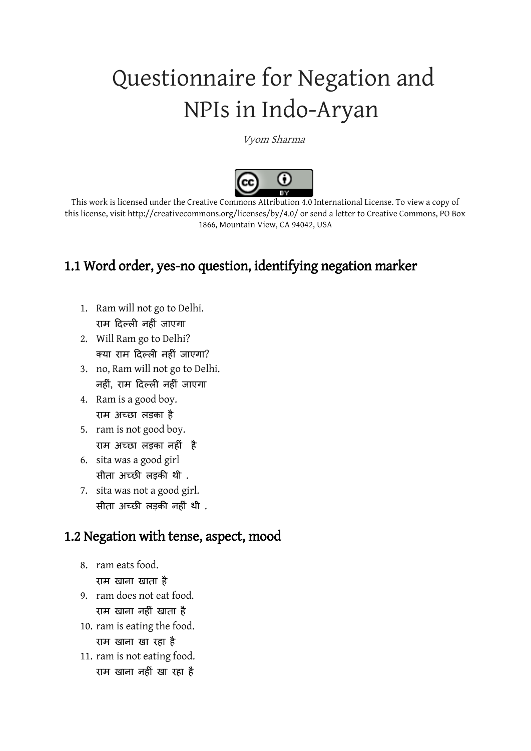# Questionnaire for Negation and NPIs in Indo-Aryan

Vyom Sharma



This work is licensed under the Creative Commons Attribution 4.0 International License. To view a copy of this license, visit http://creativecommons.org/licenses/by/4.0/ or send a letter to Creative Commons, PO Box 1866, Mountain View, CA 94042, USA

# 1.1 Word order, yes-no question, identifying negation marker

- 1. Ram will not go to Delhi. राम दिल्ली नहीीं जाएगा
- 2. Will Ram go to Delhi? क्या राम दिल्ली नहीीं जाएगा?
- 3. no, Ram will not go to Delhi. नहीीं, राम दिल्ली नहीीं जाएगा
- 4. Ram is a good boy. राम अच्छा लड़का है
- 5. ram is not good boy. राम अच्छा लड़का नहीीं है
- 6. sita was a good girl सीता अच्छी लड़की थी .
- 7. sita was not a good girl. सीता अच्छी लड़की नहीीं थी .

## 1.2 Negation with tense, aspect, mood

- 8. ram eats food. राम खाना खाता है
- 9. ram does not eat food. राम खाना नहीीं खाता है
- 10. ram is eating the food. राम खाना खा रहा है
- 11. ram is not eating food.
	- राम खाना नहीीं खा रहा है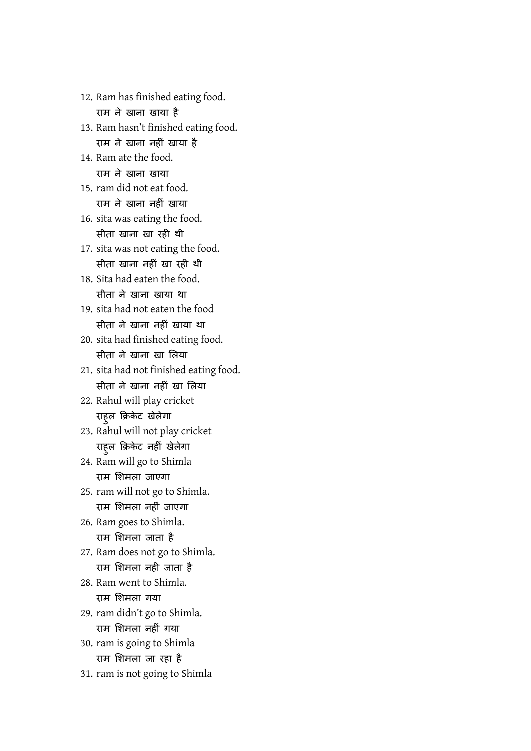राम ने खाना खाया है 13. Ram hasn't finished eating food. राम ने खाना नहीीं खाया है 14. Ram ate the food. राम ने खाना खाया 15. ram did not eat food. राम ने खाना नहीीं खाया 16. sita was eating the food. सीता खाना खा रही थी 17. sita was not eating the food. सीता खाना नहीं खा रही थी 18. Sita had eaten the food. सीता ने खाना खाया था 19. sita had not eaten the food सीता ने खाना नहीीं खाया था 20. sita had finished eating food. सीता ने खाना खा लिया 21. sita had not finished eating food. सीता ने खाना नहीं खा लिया 22. Rahul will play cricket राहुल क्रिकेट खेलेगा 23. Rahul will not play cricket राहुल क्रिकेट नहीीं खेलेगा 24. Ram will go to Shimla राम लिमला जाएगा 25. ram will not go to Shimla. राम लिमला नहीीं जाएगा 26. Ram goes to Shimla. राम लिमला जाता है 27. Ram does not go to Shimla. राम लिमला नही जाता है 28. Ram went to Shimla. राम लिमला गया 29. ram didn't go to Shimla. राम लिमला नहीीं गया 30. ram is going to Shimla राम लिमला जा रहा है 31. ram is not going to Shimla

12. Ram has finished eating food.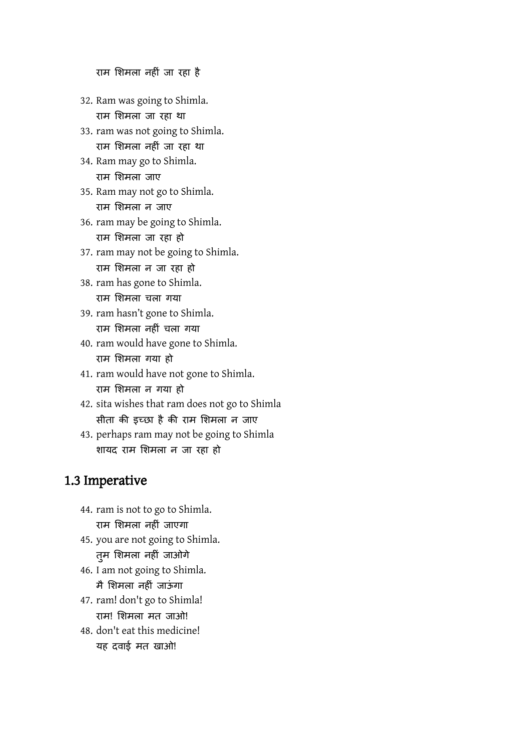राम लिमला नहीीं जा रहा है

- 32. Ram was going to Shimla. राम लिमला जा रहा था
- 33. ram was not going to Shimla. राम लिमला नहीीं जा रहा था
- 34. Ram may go to Shimla. राम लिमला जाए
- 35. Ram may not go to Shimla. राम लिमला न जाए
- 36. ram may be going to Shimla. राम लिमला जा रहा हो
- 37. ram may not be going to Shimla. राम लिमला न जा रहा हो
- 38. ram has gone to Shimla. राम लिमला चला गया
- 39. ram hasn't gone to Shimla. राम लिमला नहीीं चला गया
- 40. ram would have gone to Shimla. राम लिमला गया हो
- 41. ram would have not gone to Shimla. राम लिमला न गया हो
- 42. sita wishes that ram does not go to Shimla सीता की इच्छा है की राम लिमला न जाए
- 43. perhaps ram may not be going to Shimla िायि राम लिमला न जा रहा हो

#### 1.3 Imperative

- 44. ram is not to go to Shimla. राम लिमला नहीीं जाएगा
- 45. you are not going to Shimla. तुम लिमला नहीीं जाओगे
- 46. I am not going to Shimla. मै शिमला नहीं जाऊंगा
- 47. ram! don't go to Shimla! राम! लिमला मत जाओ!
- 48. don't eat this medicine! यह दवाई मत खाओ!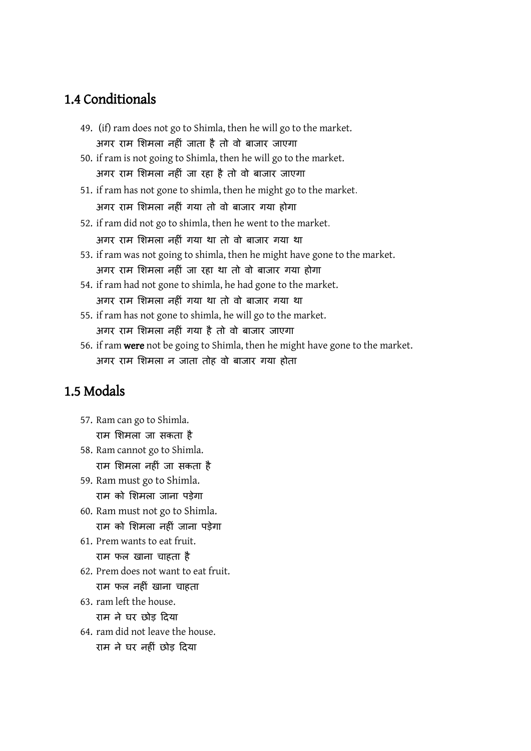#### 1.4 Conditionals

- 49. (if) ram does not go to Shimla, then he will go to the market. अगर राम लिमला नहीीं जाता है तो वो बाजार जाएगा
- 50. if ram is not going to Shimla, then he will go to the market. अगर राम लिमला नहीीं जा रहा है तो वो बाजार जाएगा
- 51. if ram has not gone to shimla, then he might go to the market. अगर राम लिमला नहीीं गया तो वो बाजार गया होगा
- 52. if ram did not go to shimla, then he went to the market. अगर राम लिमला नहीीं गया था तो वो बाजार गया था
- 53. if ram was not going to shimla, then he might have gone to the market. अगर राम लिमला नहीीं जा रहा था तो वो बाजार गया होगा
- 54. if ram had not gone to shimla, he had gone to the market. अगर राम लिमला नहीीं गया था तो वो बाजार गया था
- 55. if ram has not gone to shimla, he will go to the market. अगर राम लिमला नहीीं गया है तो वो बाजार जाएगा
- 56. if ram were not be going to Shimla, then he might have gone to the market. अगर राम लिमला न जाता तोह वो बाजार गया होता

### 1.5 Modals

- 57. Ram can go to Shimla. राम लिमला जा सकता है
- 58. Ram cannot go to Shimla. राम लिमला नहीीं जा सकता है
- 59. Ram must go to Shimla. राम को लिमला जाना पड़ेगा
- 60. Ram must not go to Shimla. राम को लिमला नहीीं जाना पड़ेगा
- 61. Prem wants to eat fruit. राम फल खाना चाहता है
- 62. Prem does not want to eat fruit. राम फल नहीीं खाना चाहता
- 63. ram left the house. राम ने घर छोड़ दिया
- 64. ram did not leave the house. राम ने घर नहीीं छोड़ दिया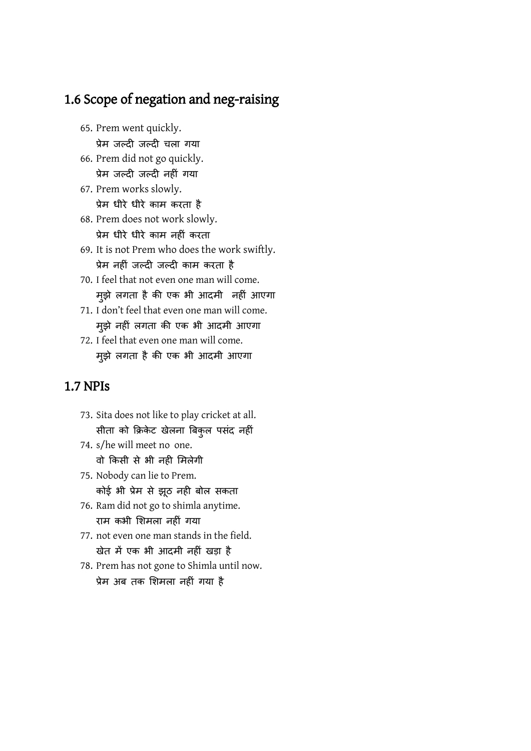## 1.6 Scope of negation and neg-raising

- 65. Prem went quickly. प्रेम जल्िी जल्िी चला गया
- 66. Prem did not go quickly. प्रेम जल्िी जल्िी नहीीं गया
- 67. Prem works slowly. प्रेम धीरे धीरे काम करता है
- 68. Prem does not work slowly. प्रेम धीरे धीरे काम नहीीं करता
- 69. It is not Prem who does the work swiftly. प्रेम नहीीं जल्िी जल्िी काम करता है
- 70. I feel that not even one man will come. मुझे लगता है की एक भी आदमी नहीं आएगा
- 71. I don't feel that even one man will come. मुझे नहीीं लगता की एक भी आिमी आएगा
- 72. I feel that even one man will come. मुझे लगता है की एक भी आदमी आएगा

#### 1.7 NPIs

- 73. Sita does not like to play cricket at all. सीता को क्रिकेट खेलना बिकुल पसंद नहीं
- 74. s/he will meet no one. वो क्रकसी से भी नही लमलेगी
- 75. Nobody can lie to Prem. कोई भी प्रेम से झूठ नही बोल सकता
- 76. Ram did not go to shimla anytime. राम कभी लिमला नहीीं गया
- 77. not even one man stands in the field. खेत में एक भी आिमी नहीीं खड़ा है
- 78. Prem has not gone to Shimla until now. प्रेम अब तक लिमला नहीीं गया है